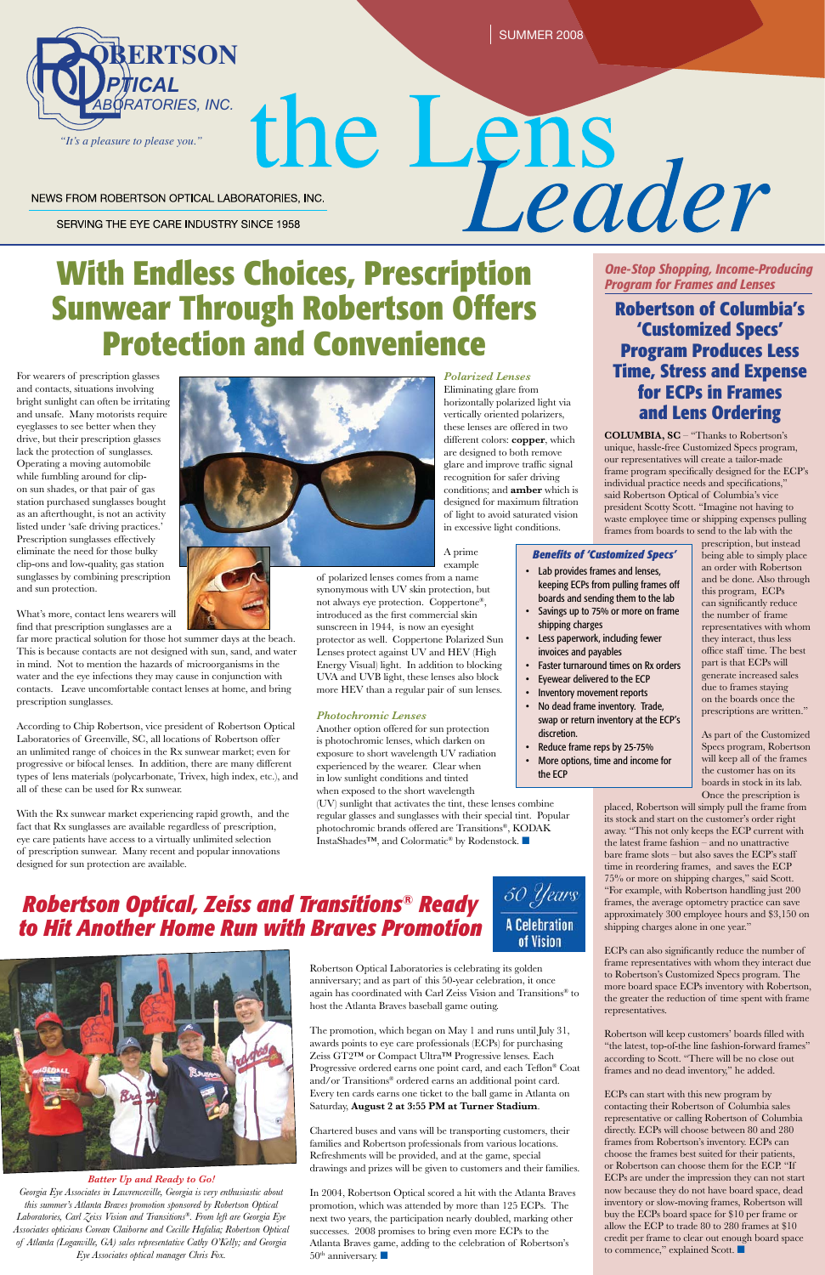For wearers of prescription glasses and contacts, situations involving bright sunlight can often be irritating and unsafe. Many motorists require eyeglasses to see better when they drive, but their prescription glasses lack the protection of sunglasses. Operating a moving automobile while fumbling around for clipon sun shades, or that pair of gas station purchased sunglasses bought as an afterthought, is not an activity listed under 'safe driving practices.' Prescription sunglasses effectively eliminate the need for those bulky clip-ons and low-quality, gas station sunglasses by combining prescription and sun protection.

What's more, contact lens wearers will find that prescription sunglasses are a

far more practical solution for those hot summer days at the beach. This is because contacts are not designed with sun, sand, and water in mind. Not to mention the hazards of microorganisms in the water and the eye infections they may cause in conjunction with contacts. Leave uncomfortable contact lenses at home, and bring prescription sunglasses.

According to Chip Robertson, vice president of Robertson Optical Laboratories of Greenville, SC, all locations of Robertson offer an unlimited range of choices in the Rx sunwear market; even for progressive or bifocal lenses. In addition, there are many different types of lens materials (polycarbonate, Trivex, high index, etc.), and all of these can be used for Rx sunwear.

> In 2004, Robertson Optical scored a hit with the Atlanta Braves promotion, which was attended by more than 125 ECPs. The next two years, the participation nearly doubled, marking other successes. 2008 promises to bring even more ECPs to the Atlanta Braves game, adding to the celebration of Robertson's  $50<sup>th</sup>$  anniversary.

With the Rx sunwear market experiencing rapid growth, and the fact that Rx sunglasses are available regardless of prescription, eye care patients have access to a virtually unlimited selection of prescription sunwear. Many recent and popular innovations designed for sun protection are available.



SUMMER 2008

#### NEWS FROM ROBERTSON OPTICAL LABORATORIES, INC.

SERVING THE EYE CARE INDUSTRY SINCE 1958

# **Sunwear Through Robertson Offers Protection and Convenience**



WITHER INC. THE PROPRATORIES, INC. **the CARE INDUSTRY SINCE 1958**<br>
SERVING THE EYE CARE INDUSTRY SINCE 1958<br>
With Endless Choices, Prescription *Dne-Stop Shopping, Income-Pri*nce and Lense

### *Robertson Optical, Zeiss and Transitions® Ready to Hit Another Home Run with Braves Promotion*





Robertson Optical Laboratories is celebrating its golden anniversary; and as part of this 50-year celebration, it once again has coordinated with Carl Zeiss Vision and Transitions® to host the Atlanta Braves baseball game outing.

The promotion, which began on May 1 and runs until July 31, awards points to eye care professionals (ECPs) for purchasing Zeiss GT2™ or Compact Ultra™ Progressive lenses. Each Progressive ordered earns one point card, and each Teflon® Coat and/or Transitions® ordered earns an additional point card. Every ten cards earns one ticket to the ball game in Atlanta on Saturday, **August 2 at 3:55 PM at Turner Stadium**.

ECPs can start with this new program by contacting their Robertson of Columbia sales representative or calling Robertson of Columbia directly. ECPs will choose between 80 and 280 frames from Robertson's inventory. ECPs can choose the frames best suited for their patients, or Robertson can choose them for the ECP. "If ECPs are under the impression they can not start now because they do not have board space, dead inventory or slow-moving frames, Robertson will buy the ECPs board space for \$10 per frame or allow the ECP to trade 80 to 280 frames at \$10 credit per frame to clear out enough board space to commence," explained Scott.

Chartered buses and vans will be transporting customers, their families and Robertson professionals from various locations. Refreshments will be provided, and at the game, special drawings and prizes will be given to customers and their families. *One-Stop Shopping, Income-Producing Program for Frames and Lenses*

**Robertson of Columbia's 'Customized Specs' Program Produces Less Time, Stress and Expense for ECPs in Frames and Lens Ordering**

**COLUMBIA, SC** – "Thanks to Robertson's unique, hassle-free Customized Specs program, our representatives will create a tailor-made frame program specifically designed for the ECP's individual practice needs and specifications," said Robertson Optical of Columbia's vice president Scotty Scott. "Imagine not having to waste employee time or shipping expenses pulling frames from boards to send to the lab with the

(UV) sunlight that activates the tint, these lenses combine regular glasses and sunglasses with their special tint. Popular photochromic brands offered are Transitions®, KODAK InstaShades<sup>™</sup>, and Colormatic<sup>®</sup> by Rodenstock. ■

- • Lab provides frames and lenses, keeping ECPs from pulling frames off boards and sending them to the lab
- Savings up to 75% or more on frame shipping charges
- Less paperwork, including fewer invoices and payables
- Faster turnaround times on Rx orders
- Eyewear delivered to the ECP
- Inventory movement reports
- No dead frame inventory. Trade, swap or return inventory at the ECP's discretion.
- Reduce frame reps by 25-75%
- More options, time and income for

prescription, but instead being able to simply place an order with Robertson and be done. Also through this program, ECPs can significantly reduce the number of frame representatives with whom they interact, thus less office staff time. The best part is that ECPs will generate increased sales due to frames staying on the boards once the prescriptions are written."

As part of the Customized Specs program, Robertson will keep all of the frames the customer has on its boards in stock in its lab. Once the prescription is

placed, Robertson will simply pull the frame from its stock and start on the customer's order right away. "This not only keeps the ECP current with the latest frame fashion – and no unattractive bare frame slots – but also saves the ECP's staff time in reordering frames, and saves the ECP 75% or more on shipping charges," said Scott. "For example, with Robertson handling just 200 frames, the average optometry practice can save approximately 300 employee hours and \$3,150 on shipping charges alone in one year."

ECPs can also significantly reduce the number of frame representatives with whom they interact due to Robertson's Customized Specs program. The more board space ECPs inventory with Robertson, the greater the reduction of time spent with frame representatives.

Robertson will keep customers' boards filled with "the latest, top-of-the line fashion-forward frames" according to Scott. "There will be no close out frames and no dead inventory," he added.

#### *Batter Up and Ready to Go!*

*Georgia Eye Associates in Lawrenceville, Georgia is very enthusiastic about this summer's Atlanta Braves promotion sponsored by Robertson Optical Laboratories, Carl Zeiss Vision and Transitions®. From left are Georgia Eye Associates opticians Corean Claiborne and Cecille Hafalia; Robertson Optical of Atlanta (Loganville, GA) sales representative Cathy O'Kelly; and Georgia Eye Associates optical manager Chris Fox.*

#### of Vision

*Polarized Lenses* Eliminating glare from horizontally polarized light via vertically oriented polarizers, these lenses are offered in two different colors: **copper**, which are designed to both remove glare and improve traffic signal recognition for safer driving conditions; and **amber** which is designed for maximum filtration of light to avoid saturated vision

in excessive light conditions.

A prime example

of polarized lenses comes from a name synonymous with UV skin protection, but not always eye protection. Coppertone®, introduced as the first commercial skin sunscreen in 1944, is now an eyesight protector as well. Coppertone Polarized Sun Lenses protect against UV and HEV (High Energy Visual) light. In addition to blocking UVA and UVB light, these lenses also block more HEV than a regular pair of sun lenses.

#### *Photochromic Lenses*

Another option offered for sun protection is photochromic lenses, which darken on exposure to short wavelength UV radiation experienced by the wearer. Clear when in low sunlight conditions and tinted when exposed to the short wavelength

#### *Benefits of 'Customized Specs'*

the ECP